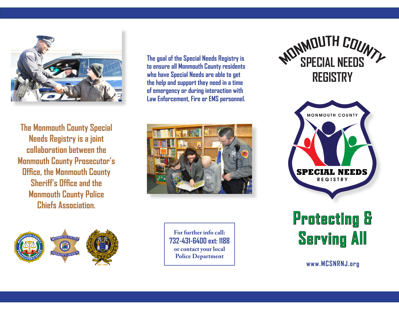

**The Monmouth County Special Needs Registry is a joint collaboration between the Monmouth County Prosecutor's Office, the Monmouth County Sheriff's Office and the Monmouth County Police Chiefs Association.** 



**The goal of the Special Needs Registry is to ensure all Monmouth County residents who have Special Needs are able to get the help and support they need in a time of emergency or during interaction with Law Enforcement, Fire or EMS personnel.** 



**For further info call: 732-431-6400 ext: 1188 or contact your local Police Department**





**Protecting & Serving All**

**www.MCSNRNJ.org**